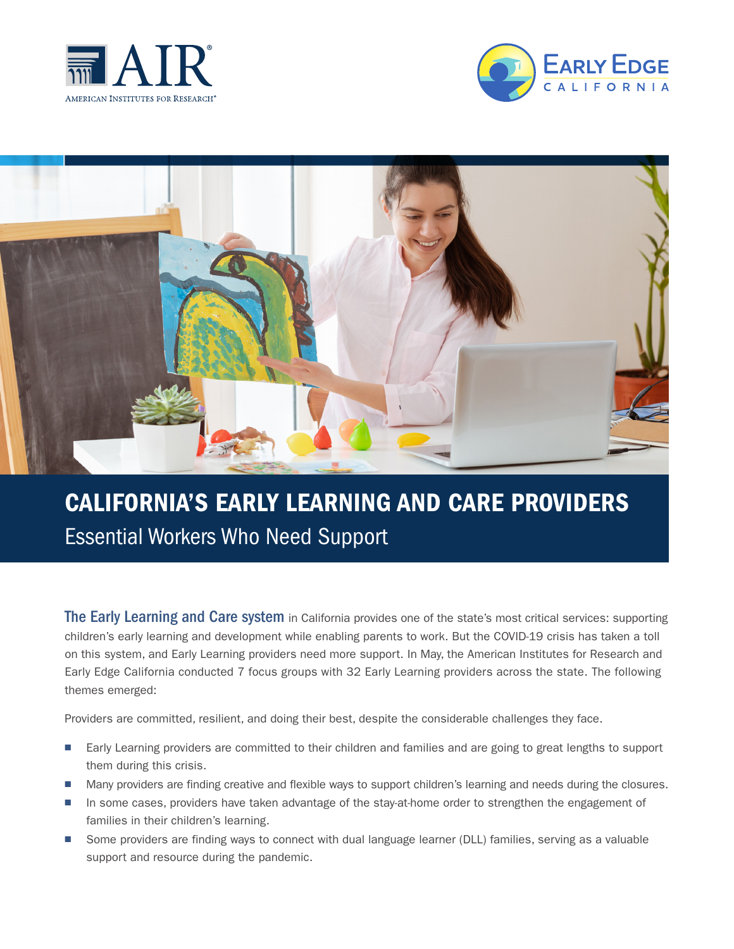





## CALIFORNIA'S EARLY LEARNING AND CARE PROVIDERS Essential Workers Who Need Support

The Early Learning and Care system in California provides one of the state's most critical services: supporting children's early learning and development while enabling parents to work. But the COVID-19 crisis has taken a toll on this system, and Early Learning providers need more support. In May, the American Institutes for Research and Early Edge California conducted 7 focus groups with 32 Early Learning providers across the state. The following themes emerged:

Providers are committed, resilient, and doing their best, despite the considerable challenges they face.

- Early Learning providers are committed to their children and families and are going to great lengths to support them during this crisis.
- Many providers are finding creative and flexible ways to support children's learning and needs during the closures.
- In some cases, providers have taken advantage of the stay-at-home order to strengthen the engagement of families in their children's learning.
- Some providers are finding ways to connect with dual language learner (DLL) families, serving as a valuable support and resource during the pandemic.